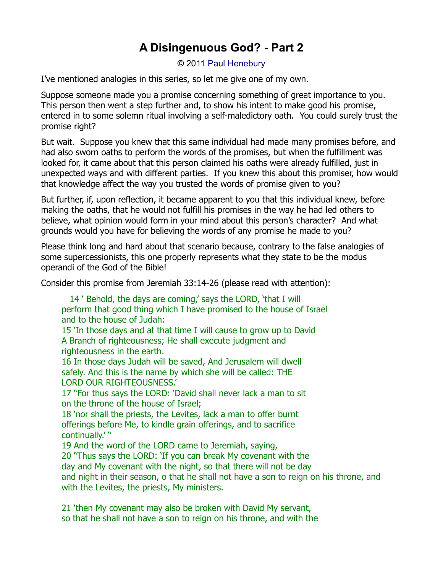## **A Disingenuous God? - Part 2**

© 2011 [Paul Henebury](http://www.spiritandtruth.org/id/ph.htm)

I've mentioned analogies in this series, so let me give one of my own.

Suppose someone made you a promise concerning something of great importance to you. This person then went a step further and, to show his intent to make good his promise, entered in to some solemn ritual involving a self-maledictory oath. You could surely trust the promise right?

But wait. Suppose you knew that this same individual had made many promises before, and had also sworn oaths to perform the words of the promises, but when the fulfillment was looked for, it came about that this person claimed his oaths were already fulfilled, just in unexpected ways and with different parties. If you knew this about this promiser, how would that knowledge affect the way you trusted the words of promise given to you?

But further, if, upon reflection, it became apparent to you that this individual knew, before making the oaths, that he would not fulfill his promises in the way he had led others to believe, what opinion would form in your mind about this person's character? And what grounds would you have for believing the words of any promise he made to you?

Please think long and hard about that scenario because, contrary to the false analogies of some supercessionists, this one properly represents what they state to be the modus operandi of the God of the Bible!

Consider this promise from Jeremiah 33:14-26 (please read with attention):

14 ' Behold, the days are coming,' says the LORD, 'that I will perform that good thing which I have promised to the house of Israel and to the house of Judah:

15 'In those days and at that time I will cause to grow up to David A Branch of righteousness; He shall execute judgment and righteousness in the earth.

16 In those days Judah will be saved, And Jerusalem will dwell safely. And this is the name by which she will be called: THE LORD OUR RIGHTEOUSNESS.'

17 "For thus says the LORD: 'David shall never lack a man to sit on the throne of the house of Israel;

18 'nor shall the priests, the Levites, lack a man to offer burnt offerings before Me, to kindle grain offerings, and to sacrifice continually.' "

19 And the word of the LORD came to Jeremiah, saying,

20 "Thus says the LORD: 'If you can break My covenant with the day and My covenant with the night, so that there will not be day and night in their season, o that he shall not have a son to reign on his throne, and with the Levites, the priests, My ministers.

21 'then My covenant may also be broken with David My servant, so that he shall not have a son to reign on his throne, and with the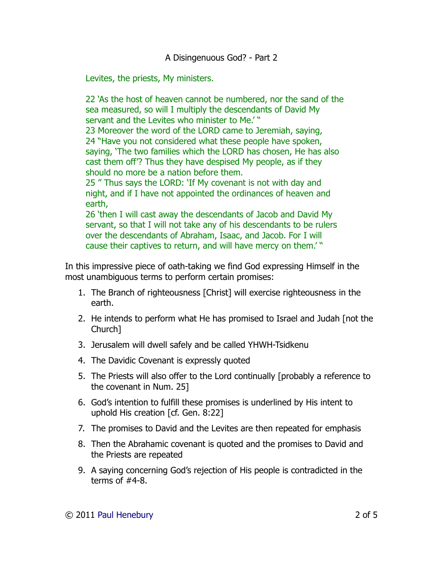Levites, the priests, My ministers.

22 'As the host of heaven cannot be numbered, nor the sand of the sea measured, so will I multiply the descendants of David My servant and the Levites who minister to Me.'" 23 Moreover the word of the LORD came to Jeremiah, saying, 24 "Have you not considered what these people have spoken,

saying, 'The two families which the LORD has chosen, He has also cast them off'? Thus they have despised My people, as if they should no more be a nation before them.

25 " Thus says the LORD: 'If My covenant is not with day and night, and if I have not appointed the ordinances of heaven and earth,

26 'then I will cast away the descendants of Jacob and David My servant, so that I will not take any of his descendants to be rulers over the descendants of Abraham, Isaac, and Jacob. For I will cause their captives to return, and will have mercy on them.' "

In this impressive piece of oath-taking we find God expressing Himself in the most unambiguous terms to perform certain promises:

- 1. The Branch of righteousness [Christ] will exercise righteousness in the earth.
- 2. He intends to perform what He has promised to Israel and Judah [not the Church]
- 3. Jerusalem will dwell safely and be called YHWH-Tsidkenu
- 4. The Davidic Covenant is expressly quoted
- 5. The Priests will also offer to the Lord continually [probably a reference to the covenant in Num. 25]
- 6. God's intention to fulfill these promises is underlined by His intent to uphold His creation [cf. Gen. 8:22]
- 7. The promises to David and the Levites are then repeated for emphasis
- 8. Then the Abrahamic covenant is quoted and the promises to David and the Priests are repeated
- 9. A saying concerning God's rejection of His people is contradicted in the terms of #4-8.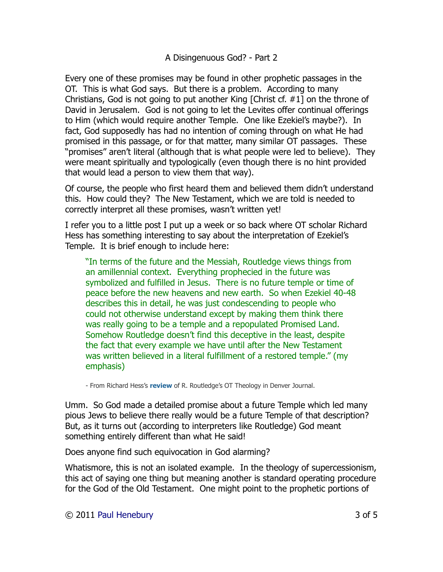## A Disingenuous God? - Part 2

Every one of these promises may be found in other prophetic passages in the OT. This is what God says. But there is a problem. According to many Christians, God is not going to put another King [Christ cf. #1] on the throne of David in Jerusalem. God is not going to let the Levites offer continual offerings to Him (which would require another Temple. One like Ezekiel's maybe?). In fact, God supposedly has had no intention of coming through on what He had promised in this passage, or for that matter, many similar OT passages. These "promises" aren't literal (although that is what people were led to believe). They were meant spiritually and typologically (even though there is no hint provided that would lead a person to view them that way).

Of course, the people who first heard them and believed them didn't understand this. How could they? The New Testament, which we are told is needed to correctly interpret all these promises, wasn't written yet!

I refer you to a little post I put up a week or so back where OT scholar Richard Hess has something interesting to say about the interpretation of Ezekiel's Temple. It is brief enough to include here:

"In terms of the future and the Messiah, Routledge views things from an amillennial context. Everything prophecied in the future was symbolized and fulfilled in Jesus. There is no future temple or time of peace before the new heavens and new earth. So when Ezekiel 40-48 describes this in detail, he was just condescending to people who could not otherwise understand except by making them think there was really going to be a temple and a repopulated Promised Land. Somehow Routledge doesn't find this deceptive in the least, despite the fact that every example we have until after the New Testament was written believed in a literal fulfillment of a restored temple." (my emphasis)

- From Richard Hess's **[review](http://www.denverseminary.edu/article/old-testament-theology-a-thematic-approach/)** of R. Routledge's OT Theology in Denver Journal.

Umm. So God made a detailed promise about a future Temple which led many pious Jews to believe there really would be a future Temple of that description? But, as it turns out (according to interpreters like Routledge) God meant something entirely different than what He said!

Does anyone find such equivocation in God alarming?

Whatismore, this is not an isolated example. In the theology of supercessionism, this act of saying one thing but meaning another is standard operating procedure for the God of the Old Testament. One might point to the prophetic portions of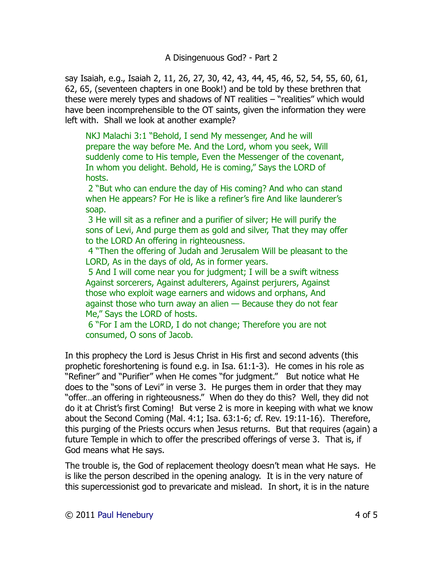say Isaiah, e.g., Isaiah 2, 11, 26, 27, 30, 42, 43, 44, 45, 46, 52, 54, 55, 60, 61, 62, 65, (seventeen chapters in one Book!) and be told by these brethren that these were merely types and shadows of NT realities – "realities" which would have been incomprehensible to the OT saints, given the information they were left with. Shall we look at another example?

NKJ Malachi 3:1 "Behold, I send My messenger, And he will prepare the way before Me. And the Lord, whom you seek, Will suddenly come to His temple, Even the Messenger of the covenant, In whom you delight. Behold, He is coming," Says the LORD of hosts.

2 "But who can endure the day of His coming? And who can stand when He appears? For He is like a refiner's fire And like launderer's soap.

3 He will sit as a refiner and a purifier of silver; He will purify the sons of Levi, And purge them as gold and silver, That they may offer to the LORD An offering in righteousness.

4 "Then the offering of Judah and Jerusalem Will be pleasant to the LORD, As in the days of old, As in former years.

5 And I will come near you for judgment; I will be a swift witness Against sorcerers, Against adulterers, Against perjurers, Against those who exploit wage earners and widows and orphans, And against those who turn away an alien — Because they do not fear Me," Says the LORD of hosts.

6 "For I am the LORD, I do not change; Therefore you are not consumed, O sons of Jacob.

In this prophecy the Lord is Jesus Christ in His first and second advents (this prophetic foreshortening is found e.g. in Isa. 61:1-3). He comes in his role as "Refiner" and "Purifier" when He comes "for judgment." But notice what He does to the "sons of Levi" in verse 3. He purges them in order that they may "offer…an offering in righteousness." When do they do this? Well, they did not do it at Christ's first Coming! But verse 2 is more in keeping with what we know about the Second Coming (Mal. 4:1; Isa. 63:1-6; cf. Rev. 19:11-16). Therefore, this purging of the Priests occurs when Jesus returns. But that requires (again) a future Temple in which to offer the prescribed offerings of verse 3. That is, if God means what He says.

The trouble is, the God of replacement theology doesn't mean what He says. He is like the person described in the opening analogy. It is in the very nature of this supercessionist god to prevaricate and mislead. In short, it is in the nature